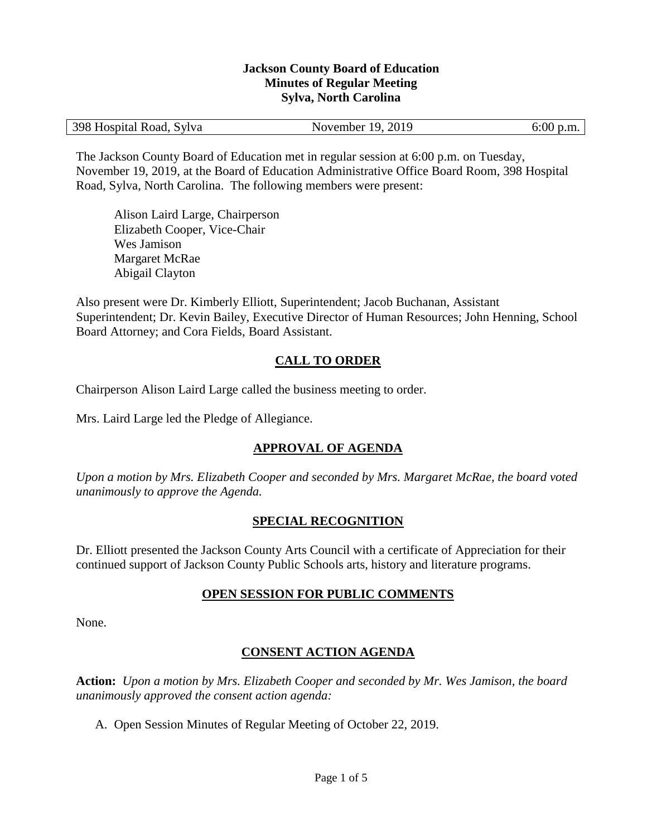#### **Jackson County Board of Education Minutes of Regular Meeting Sylva, North Carolina**

| 398 Hospital Road, Sylva | November 19, 2019 | $6:00$ p.m. |
|--------------------------|-------------------|-------------|
|--------------------------|-------------------|-------------|

The Jackson County Board of Education met in regular session at 6:00 p.m. on Tuesday, November 19, 2019, at the Board of Education Administrative Office Board Room, 398 Hospital Road, Sylva, North Carolina. The following members were present:

Alison Laird Large, Chairperson Elizabeth Cooper, Vice-Chair Wes Jamison Margaret McRae Abigail Clayton

Also present were Dr. Kimberly Elliott, Superintendent; Jacob Buchanan, Assistant Superintendent; Dr. Kevin Bailey, Executive Director of Human Resources; John Henning, School Board Attorney; and Cora Fields, Board Assistant.

# **CALL TO ORDER**

Chairperson Alison Laird Large called the business meeting to order.

Mrs. Laird Large led the Pledge of Allegiance.

# **APPROVAL OF AGENDA**

*Upon a motion by Mrs. Elizabeth Cooper and seconded by Mrs. Margaret McRae, the board voted unanimously to approve the Agenda.*

# **SPECIAL RECOGNITION**

Dr. Elliott presented the Jackson County Arts Council with a certificate of Appreciation for their continued support of Jackson County Public Schools arts, history and literature programs.

### **OPEN SESSION FOR PUBLIC COMMENTS**

None.

# **CONSENT ACTION AGENDA**

**Action:** *Upon a motion by Mrs. Elizabeth Cooper and seconded by Mr. Wes Jamison, the board unanimously approved the consent action agenda:*

A. Open Session Minutes of Regular Meeting of October 22, 2019.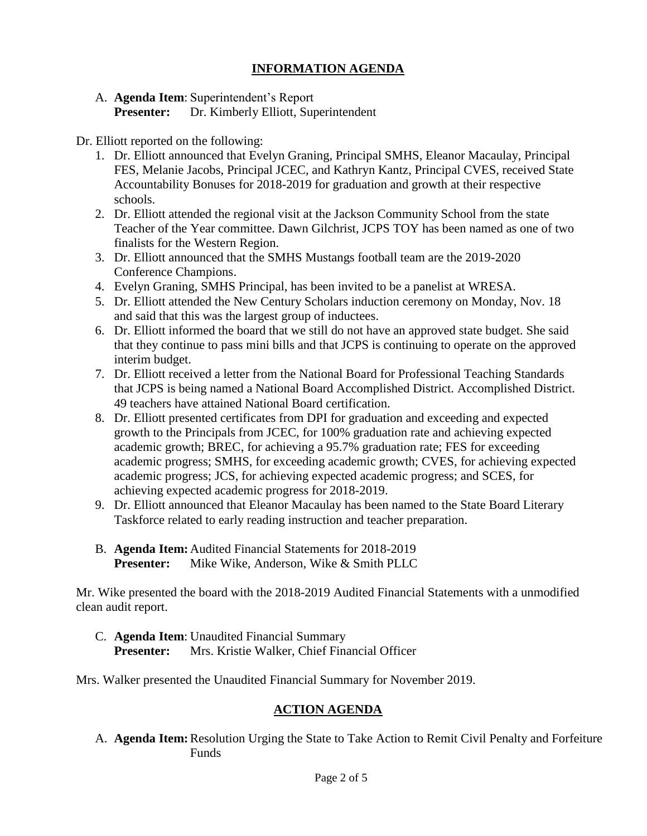### **INFORMATION AGENDA**

### A. **Agenda Item**: Superintendent's Report

**Presenter:** Dr. Kimberly Elliott, Superintendent

#### Dr. Elliott reported on the following:

- 1. Dr. Elliott announced that Evelyn Graning, Principal SMHS, Eleanor Macaulay, Principal FES, Melanie Jacobs, Principal JCEC, and Kathryn Kantz, Principal CVES, received State Accountability Bonuses for 2018-2019 for graduation and growth at their respective schools.
- 2. Dr. Elliott attended the regional visit at the Jackson Community School from the state Teacher of the Year committee. Dawn Gilchrist, JCPS TOY has been named as one of two finalists for the Western Region.
- 3. Dr. Elliott announced that the SMHS Mustangs football team are the 2019-2020 Conference Champions.
- 4. Evelyn Graning, SMHS Principal, has been invited to be a panelist at WRESA.
- 5. Dr. Elliott attended the New Century Scholars induction ceremony on Monday, Nov. 18 and said that this was the largest group of inductees.
- 6. Dr. Elliott informed the board that we still do not have an approved state budget. She said that they continue to pass mini bills and that JCPS is continuing to operate on the approved interim budget.
- 7. Dr. Elliott received a letter from the National Board for Professional Teaching Standards that JCPS is being named a National Board Accomplished District. Accomplished District. 49 teachers have attained National Board certification.
- 8. Dr. Elliott presented certificates from DPI for graduation and exceeding and expected growth to the Principals from JCEC, for 100% graduation rate and achieving expected academic growth; BREC, for achieving a 95.7% graduation rate; FES for exceeding academic progress; SMHS, for exceeding academic growth; CVES, for achieving expected academic progress; JCS, for achieving expected academic progress; and SCES, for achieving expected academic progress for 2018-2019.
- 9. Dr. Elliott announced that Eleanor Macaulay has been named to the State Board Literary Taskforce related to early reading instruction and teacher preparation.
- B. **Agenda Item:** Audited Financial Statements for 2018-2019 **Presenter:** Mike Wike, Anderson, Wike & Smith PLLC

Mr. Wike presented the board with the 2018-2019 Audited Financial Statements with a unmodified clean audit report.

C. **Agenda Item**: Unaudited Financial Summary **Presenter:** Mrs. Kristie Walker, Chief Financial Officer

Mrs. Walker presented the Unaudited Financial Summary for November 2019.

# **ACTION AGENDA**

A. **Agenda Item:**Resolution Urging the State to Take Action to Remit Civil Penalty and Forfeiture Funds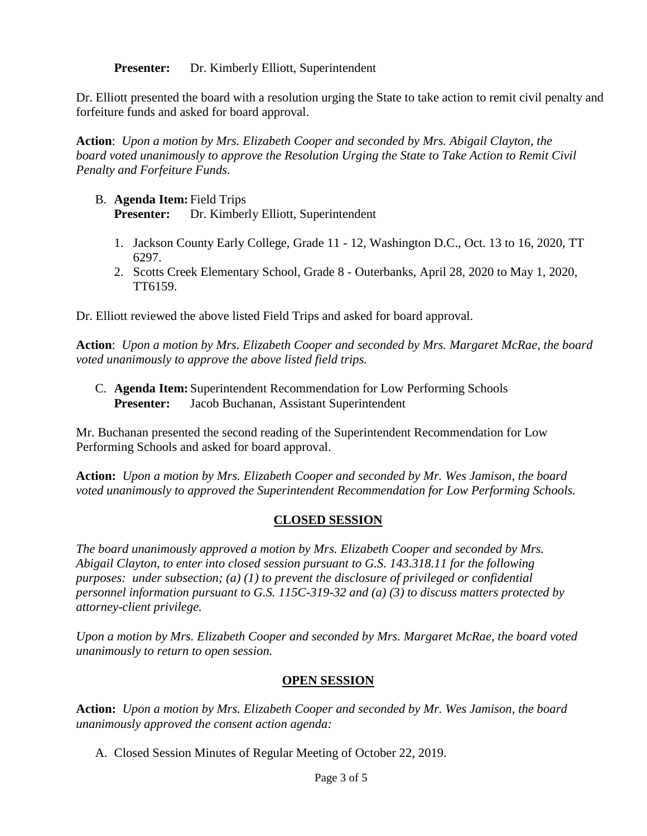**Presenter:** Dr. Kimberly Elliott, Superintendent

Dr. Elliott presented the board with a resolution urging the State to take action to remit civil penalty and forfeiture funds and asked for board approval.

**Action**: *Upon a motion by Mrs. Elizabeth Cooper and seconded by Mrs. Abigail Clayton, the board voted unanimously to approve the Resolution Urging the State to Take Action to Remit Civil Penalty and Forfeiture Funds.*

### B. **Agenda Item:** Field Trips **Presenter:** Dr. Kimberly Elliott, Superintendent

- 1. Jackson County Early College, Grade 11 12, Washington D.C., Oct. 13 to 16, 2020, TT 6297.
- 2. Scotts Creek Elementary School, Grade 8 Outerbanks, April 28, 2020 to May 1, 2020, TT6159.

Dr. Elliott reviewed the above listed Field Trips and asked for board approval.

**Action**: *Upon a motion by Mrs. Elizabeth Cooper and seconded by Mrs. Margaret McRae, the board voted unanimously to approve the above listed field trips.*

C. **Agenda Item:** Superintendent Recommendation for Low Performing Schools **Presenter:** Jacob Buchanan, Assistant Superintendent

Mr. Buchanan presented the second reading of the Superintendent Recommendation for Low Performing Schools and asked for board approval.

**Action:** *Upon a motion by Mrs. Elizabeth Cooper and seconded by Mr. Wes Jamison, the board voted unanimously to approved the Superintendent Recommendation for Low Performing Schools.*

### **CLOSED SESSION**

*The board unanimously approved a motion by Mrs. Elizabeth Cooper and seconded by Mrs. Abigail Clayton, to enter into closed session pursuant to G.S. 143.318.11 for the following purposes: under subsection; (a) (1) to prevent the disclosure of privileged or confidential personnel information pursuant to G.S. 115C-319-32 and (a) (3) to discuss matters protected by attorney-client privilege.* 

*Upon a motion by Mrs. Elizabeth Cooper and seconded by Mrs. Margaret McRae, the board voted unanimously to return to open session.*

### **OPEN SESSION**

**Action:** *Upon a motion by Mrs. Elizabeth Cooper and seconded by Mr. Wes Jamison, the board unanimously approved the consent action agenda:*

A. Closed Session Minutes of Regular Meeting of October 22, 2019.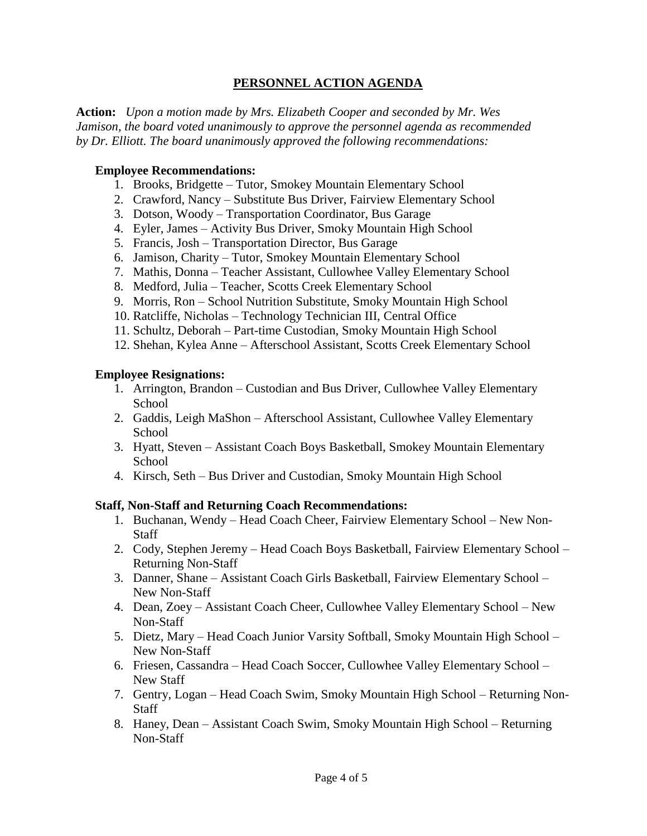### **PERSONNEL ACTION AGENDA**

**Action:** *Upon a motion made by Mrs. Elizabeth Cooper and seconded by Mr. Wes Jamison, the board voted unanimously to approve the personnel agenda as recommended by Dr. Elliott. The board unanimously approved the following recommendations:*

#### **Employee Recommendations:**

- 1. Brooks, Bridgette Tutor, Smokey Mountain Elementary School
- 2. Crawford, Nancy Substitute Bus Driver, Fairview Elementary School
- 3. Dotson, Woody Transportation Coordinator, Bus Garage
- 4. Eyler, James Activity Bus Driver, Smoky Mountain High School
- 5. Francis, Josh Transportation Director, Bus Garage
- 6. Jamison, Charity Tutor, Smokey Mountain Elementary School
- 7. Mathis, Donna Teacher Assistant, Cullowhee Valley Elementary School
- 8. Medford, Julia Teacher, Scotts Creek Elementary School
- 9. Morris, Ron School Nutrition Substitute, Smoky Mountain High School
- 10. Ratcliffe, Nicholas Technology Technician III, Central Office
- 11. Schultz, Deborah Part-time Custodian, Smoky Mountain High School
- 12. Shehan, Kylea Anne Afterschool Assistant, Scotts Creek Elementary School

#### **Employee Resignations:**

- 1. Arrington, Brandon Custodian and Bus Driver, Cullowhee Valley Elementary School
- 2. Gaddis, Leigh MaShon Afterschool Assistant, Cullowhee Valley Elementary **School**
- 3. Hyatt, Steven Assistant Coach Boys Basketball, Smokey Mountain Elementary School
- 4. Kirsch, Seth Bus Driver and Custodian, Smoky Mountain High School

#### **Staff, Non-Staff and Returning Coach Recommendations:**

- 1. Buchanan, Wendy Head Coach Cheer, Fairview Elementary School New Non-**Staff**
- 2. Cody, Stephen Jeremy Head Coach Boys Basketball, Fairview Elementary School Returning Non-Staff
- 3. Danner, Shane Assistant Coach Girls Basketball, Fairview Elementary School New Non-Staff
- 4. Dean, Zoey Assistant Coach Cheer, Cullowhee Valley Elementary School New Non-Staff
- 5. Dietz, Mary Head Coach Junior Varsity Softball, Smoky Mountain High School New Non-Staff
- 6. Friesen, Cassandra Head Coach Soccer, Cullowhee Valley Elementary School New Staff
- 7. Gentry, Logan Head Coach Swim, Smoky Mountain High School Returning Non-**Staff**
- 8. Haney, Dean Assistant Coach Swim, Smoky Mountain High School Returning Non-Staff